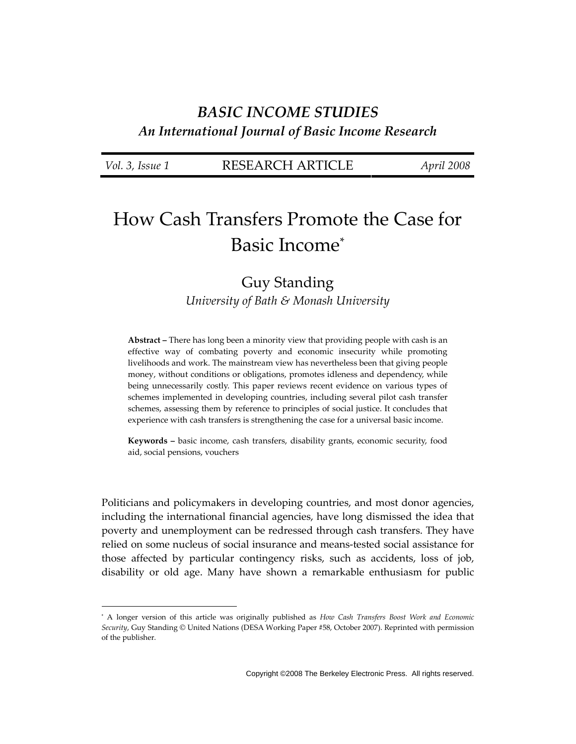# BASIC INCOME STUDIES An International Journal of Basic Income Research

| Vol. 3, Issue 1 | <b>RESEARCH ARTICLE</b> | April 2008 |
|-----------------|-------------------------|------------|
|                 |                         |            |

# How Cash Transfers Promote the Case for Basic Income\*

# Guy Standing

University of Bath & Monash University

Abstract – There has long been a minority view that providing people with cash is an effective way of combating poverty and economic insecurity while promoting livelihoods and work. The mainstream view has nevertheless been that giving people money, without conditions or obligations, promotes idleness and dependency, while being unnecessarily costly. This paper reviews recent evidence on various types of schemes implemented in developing countries, including several pilot cash transfer schemes, assessing them by reference to principles of social justice. It concludes that experience with cash transfers is strengthening the case for a universal basic income.

Keywords – basic income, cash transfers, disability grants, economic security, food aid, social pensions, vouchers

Politicians and policymakers in developing countries, and most donor agencies, including the international financial agencies, have long dismissed the idea that poverty and unemployment can be redressed through cash transfers. They have relied on some nucleus of social insurance and means-tested social assistance for those affected by particular contingency risks, such as accidents, loss of job, disability or old age. Many have shown a remarkable enthusiasm for public

<sup>\*</sup> A longer version of this article was originally published as How Cash Transfers Boost Work and Economic Security, Guy Standing © United Nations (DESA Working Paper #58, October 2007). Reprinted with permission of the publisher.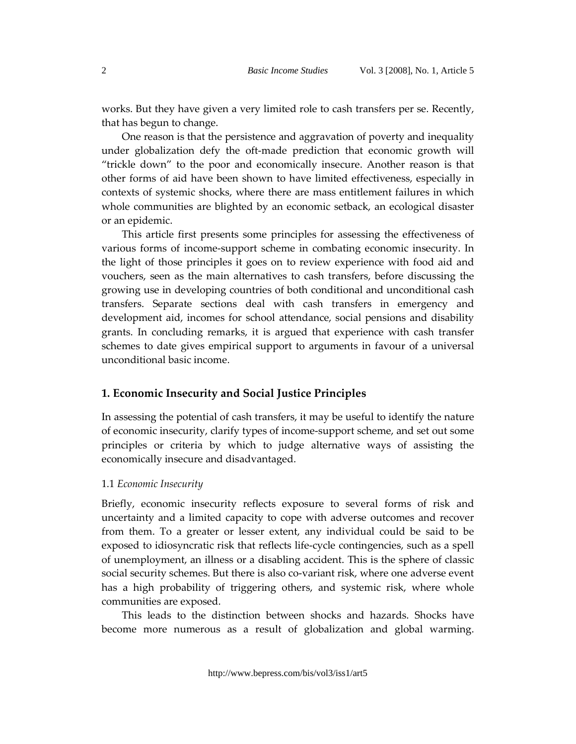works. But they have given a very limited role to cash transfers per se. Recently, that has begun to change.

One reason is that the persistence and aggravation of poverty and inequality under globalization defy the oft-made prediction that economic growth will "trickle down" to the poor and economically insecure. Another reason is that other forms of aid have been shown to have limited effectiveness, especially in contexts of systemic shocks, where there are mass entitlement failures in which whole communities are blighted by an economic setback, an ecological disaster or an epidemic.

This article first presents some principles for assessing the effectiveness of various forms of income-support scheme in combating economic insecurity. In the light of those principles it goes on to review experience with food aid and vouchers, seen as the main alternatives to cash transfers, before discussing the growing use in developing countries of both conditional and unconditional cash transfers. Separate sections deal with cash transfers in emergency and development aid, incomes for school attendance, social pensions and disability grants. In concluding remarks, it is argued that experience with cash transfer schemes to date gives empirical support to arguments in favour of a universal unconditional basic income.

## 1. Economic Insecurity and Social Justice Principles

In assessing the potential of cash transfers, it may be useful to identify the nature of economic insecurity, clarify types of income-support scheme, and set out some principles or criteria by which to judge alternative ways of assisting the economically insecure and disadvantaged.

#### 1.1 Economic Insecurity

Briefly, economic insecurity reflects exposure to several forms of risk and uncertainty and a limited capacity to cope with adverse outcomes and recover from them. To a greater or lesser extent, any individual could be said to be exposed to idiosyncratic risk that reflects life-cycle contingencies, such as a spell of unemployment, an illness or a disabling accident. This is the sphere of classic social security schemes. But there is also co-variant risk, where one adverse event has a high probability of triggering others, and systemic risk, where whole communities are exposed.

This leads to the distinction between shocks and hazards. Shocks have become more numerous as a result of globalization and global warming.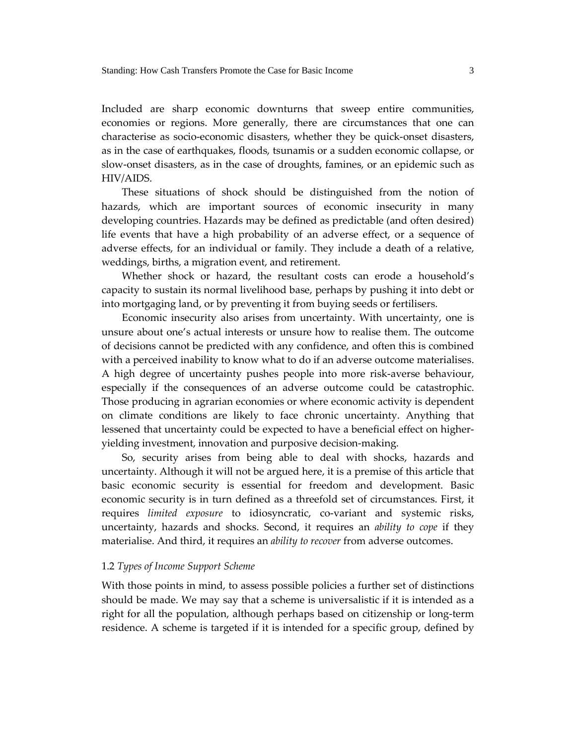Included are sharp economic downturns that sweep entire communities, economies or regions. More generally, there are circumstances that one can characterise as socio-economic disasters, whether they be quick-onset disasters, as in the case of earthquakes, floods, tsunamis or a sudden economic collapse, or slow-onset disasters, as in the case of droughts, famines, or an epidemic such as HIV/AIDS.

These situations of shock should be distinguished from the notion of hazards, which are important sources of economic insecurity in many developing countries. Hazards may be defined as predictable (and often desired) life events that have a high probability of an adverse effect, or a sequence of adverse effects, for an individual or family. They include a death of a relative, weddings, births, a migration event, and retirement.

Whether shock or hazard, the resultant costs can erode a household's capacity to sustain its normal livelihood base, perhaps by pushing it into debt or into mortgaging land, or by preventing it from buying seeds or fertilisers.

Economic insecurity also arises from uncertainty. With uncertainty, one is unsure about one's actual interests or unsure how to realise them. The outcome of decisions cannot be predicted with any confidence, and often this is combined with a perceived inability to know what to do if an adverse outcome materialises. A high degree of uncertainty pushes people into more risk-averse behaviour, especially if the consequences of an adverse outcome could be catastrophic. Those producing in agrarian economies or where economic activity is dependent on climate conditions are likely to face chronic uncertainty. Anything that lessened that uncertainty could be expected to have a beneficial effect on higheryielding investment, innovation and purposive decision-making.

So, security arises from being able to deal with shocks, hazards and uncertainty. Although it will not be argued here, it is a premise of this article that basic economic security is essential for freedom and development. Basic economic security is in turn defined as a threefold set of circumstances. First, it requires limited exposure to idiosyncratic, co-variant and systemic risks, uncertainty, hazards and shocks. Second, it requires an *ability to cope* if they materialise. And third, it requires an *ability to recover* from adverse outcomes.

#### 1.2 Types of Income Support Scheme

With those points in mind, to assess possible policies a further set of distinctions should be made. We may say that a scheme is universalistic if it is intended as a right for all the population, although perhaps based on citizenship or long-term residence. A scheme is targeted if it is intended for a specific group, defined by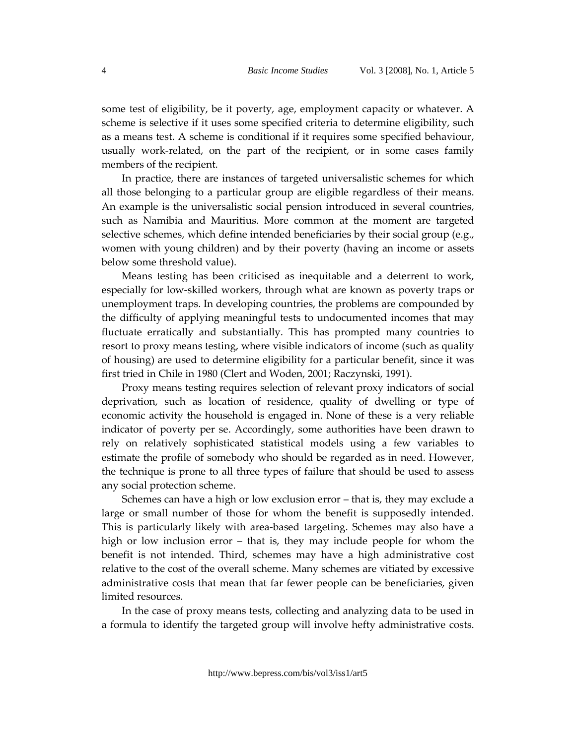some test of eligibility, be it poverty, age, employment capacity or whatever. A scheme is selective if it uses some specified criteria to determine eligibility, such as a means test. A scheme is conditional if it requires some specified behaviour, usually work-related, on the part of the recipient, or in some cases family members of the recipient.

In practice, there are instances of targeted universalistic schemes for which all those belonging to a particular group are eligible regardless of their means. An example is the universalistic social pension introduced in several countries, such as Namibia and Mauritius. More common at the moment are targeted selective schemes, which define intended beneficiaries by their social group (e.g., women with young children) and by their poverty (having an income or assets below some threshold value).

Means testing has been criticised as inequitable and a deterrent to work, especially for low-skilled workers, through what are known as poverty traps or unemployment traps. In developing countries, the problems are compounded by the difficulty of applying meaningful tests to undocumented incomes that may fluctuate erratically and substantially. This has prompted many countries to resort to proxy means testing, where visible indicators of income (such as quality of housing) are used to determine eligibility for a particular benefit, since it was first tried in Chile in 1980 (Clert and Woden, 2001; Raczynski, 1991).

Proxy means testing requires selection of relevant proxy indicators of social deprivation, such as location of residence, quality of dwelling or type of economic activity the household is engaged in. None of these is a very reliable indicator of poverty per se. Accordingly, some authorities have been drawn to rely on relatively sophisticated statistical models using a few variables to estimate the profile of somebody who should be regarded as in need. However, the technique is prone to all three types of failure that should be used to assess any social protection scheme.

Schemes can have a high or low exclusion error – that is, they may exclude a large or small number of those for whom the benefit is supposedly intended. This is particularly likely with area-based targeting. Schemes may also have a high or low inclusion error – that is, they may include people for whom the benefit is not intended. Third, schemes may have a high administrative cost relative to the cost of the overall scheme. Many schemes are vitiated by excessive administrative costs that mean that far fewer people can be beneficiaries, given limited resources.

In the case of proxy means tests, collecting and analyzing data to be used in a formula to identify the targeted group will involve hefty administrative costs.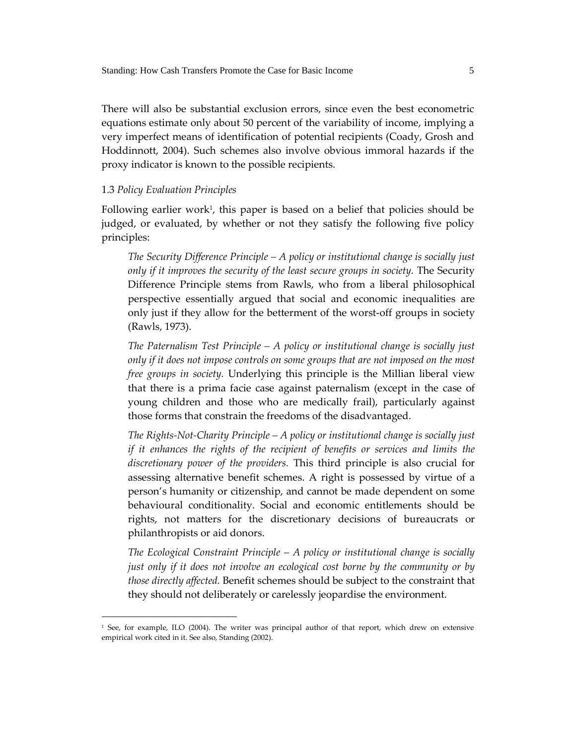There will also be substantial exclusion errors, since even the best econometric equations estimate only about 50 percent of the variability of income, implying a very imperfect means of identification of potential recipients (Coady, Grosh and Hoddinnott, 2004). Such schemes also involve obvious immoral hazards if the proxy indicator is known to the possible recipients.

#### 1.3 Policy Evaluation Principles

 $\overline{a}$ 

Following earlier work<sup>1</sup>, this paper is based on a belief that policies should be judged, or evaluated, by whether or not they satisfy the following five policy principles:

The Security Difference Principle  $-A$  policy or institutional change is socially just only if it improves the security of the least secure groups in society. The Security Difference Principle stems from Rawls, who from a liberal philosophical perspective essentially argued that social and economic inequalities are only just if they allow for the betterment of the worst-off groups in society (Rawls, 1973).

The Paternalism Test Principle  $- A$  policy or institutional change is socially just only if it does not impose controls on some groups that are not imposed on the most free groups in society. Underlying this principle is the Millian liberal view that there is a prima facie case against paternalism (except in the case of young children and those who are medically frail), particularly against those forms that constrain the freedoms of the disadvantaged.

The Rights-Not-Charity Principle – A policy or institutional change is socially just if it enhances the rights of the recipient of benefits or services and limits the discretionary power of the providers. This third principle is also crucial for assessing alternative benefit schemes. A right is possessed by virtue of a person's humanity or citizenship, and cannot be made dependent on some behavioural conditionality. Social and economic entitlements should be rights, not matters for the discretionary decisions of bureaucrats or philanthropists or aid donors.

The Ecological Constraint Principle  $-A$  policy or institutional change is socially just only if it does not involve an ecological cost borne by the community or by those directly affected. Benefit schemes should be subject to the constraint that they should not deliberately or carelessly jeopardise the environment.

<sup>1</sup> See, for example, ILO (2004). The writer was principal author of that report, which drew on extensive empirical work cited in it. See also, Standing (2002).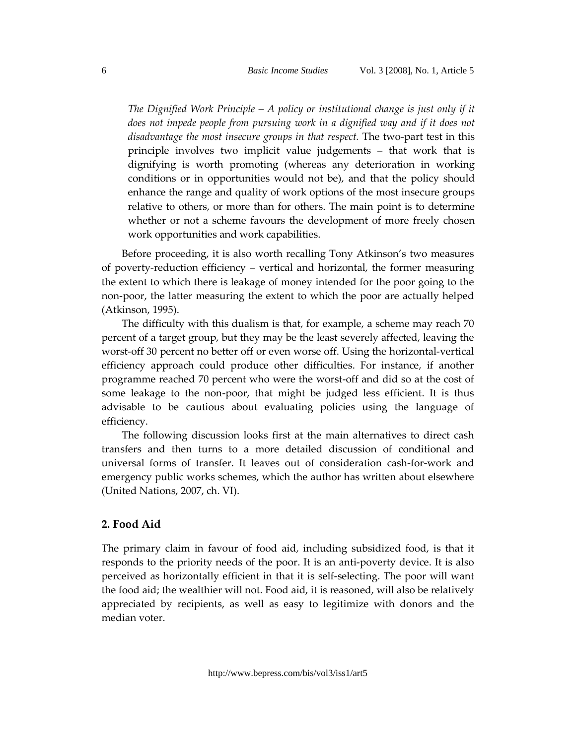The Dignified Work Principle  $- A$  policy or institutional change is just only if it does not impede people from pursuing work in a dignified way and if it does not disadvantage the most insecure groups in that respect. The two-part test in this principle involves two implicit value judgements – that work that is dignifying is worth promoting (whereas any deterioration in working conditions or in opportunities would not be), and that the policy should enhance the range and quality of work options of the most insecure groups relative to others, or more than for others. The main point is to determine whether or not a scheme favours the development of more freely chosen work opportunities and work capabilities.

Before proceeding, it is also worth recalling Tony Atkinson's two measures of poverty-reduction efficiency – vertical and horizontal, the former measuring the extent to which there is leakage of money intended for the poor going to the non-poor, the latter measuring the extent to which the poor are actually helped (Atkinson, 1995).

The difficulty with this dualism is that, for example, a scheme may reach 70 percent of a target group, but they may be the least severely affected, leaving the worst-off 30 percent no better off or even worse off. Using the horizontal-vertical efficiency approach could produce other difficulties. For instance, if another programme reached 70 percent who were the worst-off and did so at the cost of some leakage to the non-poor, that might be judged less efficient. It is thus advisable to be cautious about evaluating policies using the language of efficiency.

The following discussion looks first at the main alternatives to direct cash transfers and then turns to a more detailed discussion of conditional and universal forms of transfer. It leaves out of consideration cash-for-work and emergency public works schemes, which the author has written about elsewhere (United Nations, 2007, ch. VI).

## 2. Food Aid

The primary claim in favour of food aid, including subsidized food, is that it responds to the priority needs of the poor. It is an anti-poverty device. It is also perceived as horizontally efficient in that it is self-selecting. The poor will want the food aid; the wealthier will not. Food aid, it is reasoned, will also be relatively appreciated by recipients, as well as easy to legitimize with donors and the median voter.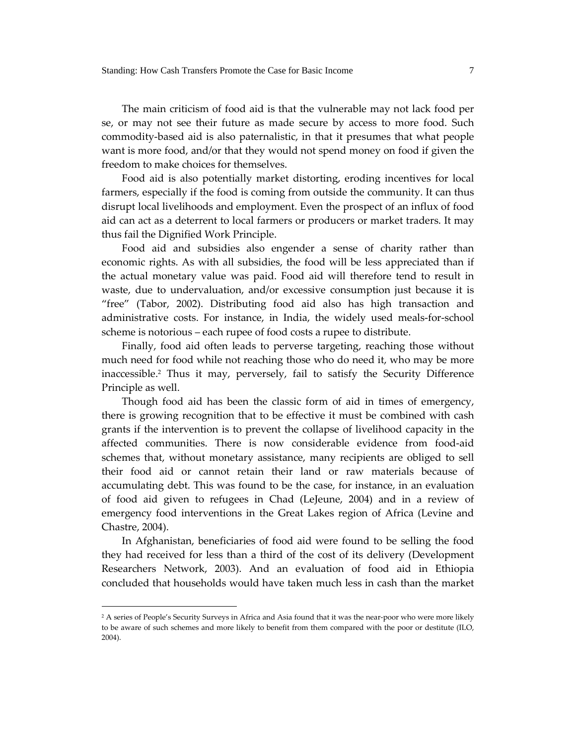The main criticism of food aid is that the vulnerable may not lack food per se, or may not see their future as made secure by access to more food. Such commodity-based aid is also paternalistic, in that it presumes that what people want is more food, and/or that they would not spend money on food if given the freedom to make choices for themselves.

Food aid is also potentially market distorting, eroding incentives for local farmers, especially if the food is coming from outside the community. It can thus disrupt local livelihoods and employment. Even the prospect of an influx of food aid can act as a deterrent to local farmers or producers or market traders. It may thus fail the Dignified Work Principle.

Food aid and subsidies also engender a sense of charity rather than economic rights. As with all subsidies, the food will be less appreciated than if the actual monetary value was paid. Food aid will therefore tend to result in waste, due to undervaluation, and/or excessive consumption just because it is "free" (Tabor, 2002). Distributing food aid also has high transaction and administrative costs. For instance, in India, the widely used meals-for-school scheme is notorious – each rupee of food costs a rupee to distribute.

Finally, food aid often leads to perverse targeting, reaching those without much need for food while not reaching those who do need it, who may be more inaccessible.<sup>2</sup> Thus it may, perversely, fail to satisfy the Security Difference Principle as well.

Though food aid has been the classic form of aid in times of emergency, there is growing recognition that to be effective it must be combined with cash grants if the intervention is to prevent the collapse of livelihood capacity in the affected communities. There is now considerable evidence from food-aid schemes that, without monetary assistance, many recipients are obliged to sell their food aid or cannot retain their land or raw materials because of accumulating debt. This was found to be the case, for instance, in an evaluation of food aid given to refugees in Chad (LeJeune, 2004) and in a review of emergency food interventions in the Great Lakes region of Africa (Levine and Chastre, 2004).

In Afghanistan, beneficiaries of food aid were found to be selling the food they had received for less than a third of the cost of its delivery (Development Researchers Network, 2003). And an evaluation of food aid in Ethiopia concluded that households would have taken much less in cash than the market

<sup>2</sup> A series of People's Security Surveys in Africa and Asia found that it was the near-poor who were more likely to be aware of such schemes and more likely to benefit from them compared with the poor or destitute (ILO, 2004).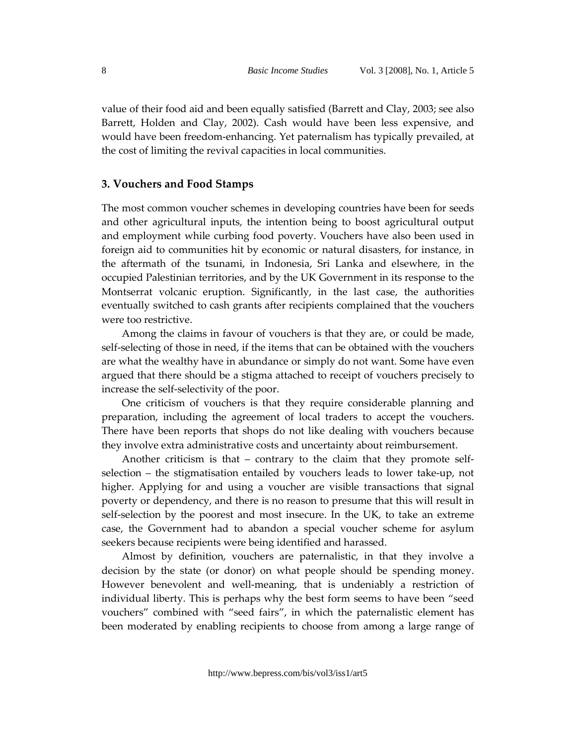value of their food aid and been equally satisfied (Barrett and Clay, 2003; see also Barrett, Holden and Clay, 2002). Cash would have been less expensive, and would have been freedom-enhancing. Yet paternalism has typically prevailed, at the cost of limiting the revival capacities in local communities.

#### 3. Vouchers and Food Stamps

The most common voucher schemes in developing countries have been for seeds and other agricultural inputs, the intention being to boost agricultural output and employment while curbing food poverty. Vouchers have also been used in foreign aid to communities hit by economic or natural disasters, for instance, in the aftermath of the tsunami, in Indonesia, Sri Lanka and elsewhere, in the occupied Palestinian territories, and by the UK Government in its response to the Montserrat volcanic eruption. Significantly, in the last case, the authorities eventually switched to cash grants after recipients complained that the vouchers were too restrictive.

Among the claims in favour of vouchers is that they are, or could be made, self-selecting of those in need, if the items that can be obtained with the vouchers are what the wealthy have in abundance or simply do not want. Some have even argued that there should be a stigma attached to receipt of vouchers precisely to increase the self-selectivity of the poor.

One criticism of vouchers is that they require considerable planning and preparation, including the agreement of local traders to accept the vouchers. There have been reports that shops do not like dealing with vouchers because they involve extra administrative costs and uncertainty about reimbursement.

Another criticism is that – contrary to the claim that they promote selfselection – the stigmatisation entailed by vouchers leads to lower take-up, not higher. Applying for and using a voucher are visible transactions that signal poverty or dependency, and there is no reason to presume that this will result in self-selection by the poorest and most insecure. In the UK, to take an extreme case, the Government had to abandon a special voucher scheme for asylum seekers because recipients were being identified and harassed.

Almost by definition, vouchers are paternalistic, in that they involve a decision by the state (or donor) on what people should be spending money. However benevolent and well-meaning, that is undeniably a restriction of individual liberty. This is perhaps why the best form seems to have been "seed vouchers" combined with "seed fairs", in which the paternalistic element has been moderated by enabling recipients to choose from among a large range of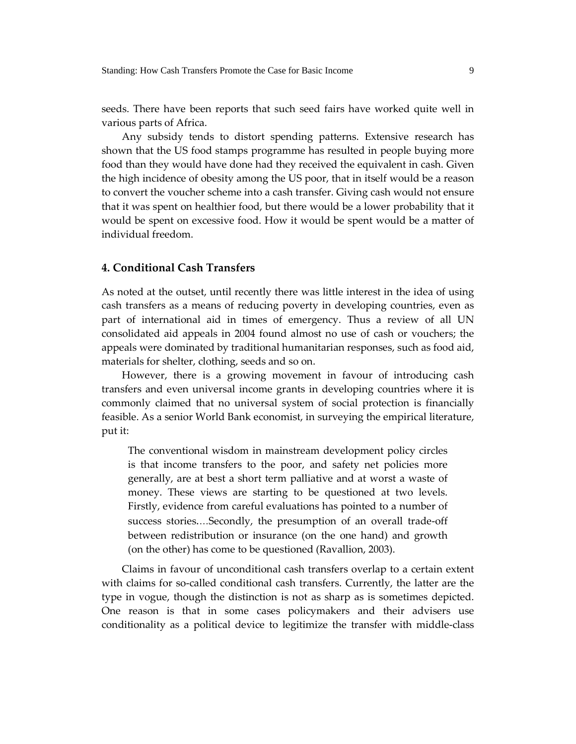seeds. There have been reports that such seed fairs have worked quite well in various parts of Africa.

Any subsidy tends to distort spending patterns. Extensive research has shown that the US food stamps programme has resulted in people buying more food than they would have done had they received the equivalent in cash. Given the high incidence of obesity among the US poor, that in itself would be a reason to convert the voucher scheme into a cash transfer. Giving cash would not ensure that it was spent on healthier food, but there would be a lower probability that it would be spent on excessive food. How it would be spent would be a matter of individual freedom.

#### 4. Conditional Cash Transfers

As noted at the outset, until recently there was little interest in the idea of using cash transfers as a means of reducing poverty in developing countries, even as part of international aid in times of emergency. Thus a review of all UN consolidated aid appeals in 2004 found almost no use of cash or vouchers; the appeals were dominated by traditional humanitarian responses, such as food aid, materials for shelter, clothing, seeds and so on.

However, there is a growing movement in favour of introducing cash transfers and even universal income grants in developing countries where it is commonly claimed that no universal system of social protection is financially feasible. As a senior World Bank economist, in surveying the empirical literature, put it:

The conventional wisdom in mainstream development policy circles is that income transfers to the poor, and safety net policies more generally, are at best a short term palliative and at worst a waste of money. These views are starting to be questioned at two levels. Firstly, evidence from careful evaluations has pointed to a number of success stories.…Secondly, the presumption of an overall trade-off between redistribution or insurance (on the one hand) and growth (on the other) has come to be questioned (Ravallion, 2003).

Claims in favour of unconditional cash transfers overlap to a certain extent with claims for so-called conditional cash transfers. Currently, the latter are the type in vogue, though the distinction is not as sharp as is sometimes depicted. One reason is that in some cases policymakers and their advisers use conditionality as a political device to legitimize the transfer with middle-class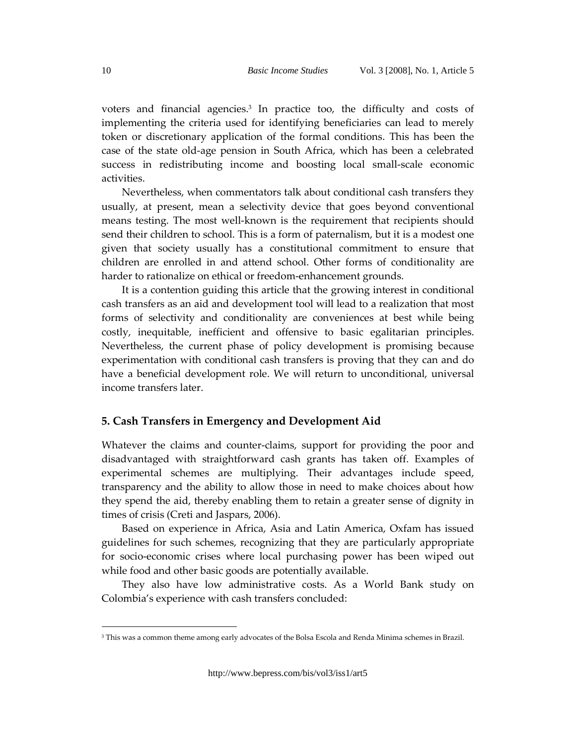voters and financial agencies.<sup>3</sup> In practice too, the difficulty and costs of implementing the criteria used for identifying beneficiaries can lead to merely token or discretionary application of the formal conditions. This has been the case of the state old-age pension in South Africa, which has been a celebrated success in redistributing income and boosting local small-scale economic activities.

Nevertheless, when commentators talk about conditional cash transfers they usually, at present, mean a selectivity device that goes beyond conventional means testing. The most well-known is the requirement that recipients should send their children to school. This is a form of paternalism, but it is a modest one given that society usually has a constitutional commitment to ensure that children are enrolled in and attend school. Other forms of conditionality are harder to rationalize on ethical or freedom-enhancement grounds.

It is a contention guiding this article that the growing interest in conditional cash transfers as an aid and development tool will lead to a realization that most forms of selectivity and conditionality are conveniences at best while being costly, inequitable, inefficient and offensive to basic egalitarian principles. Nevertheless, the current phase of policy development is promising because experimentation with conditional cash transfers is proving that they can and do have a beneficial development role. We will return to unconditional, universal income transfers later.

### 5. Cash Transfers in Emergency and Development Aid

Whatever the claims and counter-claims, support for providing the poor and disadvantaged with straightforward cash grants has taken off. Examples of experimental schemes are multiplying. Their advantages include speed, transparency and the ability to allow those in need to make choices about how they spend the aid, thereby enabling them to retain a greater sense of dignity in times of crisis (Creti and Jaspars, 2006).

Based on experience in Africa, Asia and Latin America, Oxfam has issued guidelines for such schemes, recognizing that they are particularly appropriate for socio-economic crises where local purchasing power has been wiped out while food and other basic goods are potentially available.

They also have low administrative costs. As a World Bank study on Colombia's experience with cash transfers concluded:

<sup>3</sup> This was a common theme among early advocates of the Bolsa Escola and Renda Minima schemes in Brazil.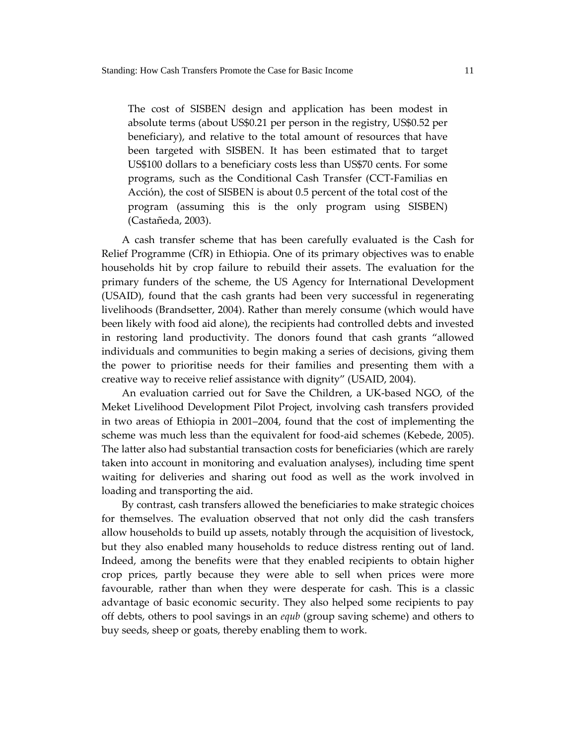The cost of SISBEN design and application has been modest in absolute terms (about US\$0.21 per person in the registry, US\$0.52 per beneficiary), and relative to the total amount of resources that have been targeted with SISBEN. It has been estimated that to target US\$100 dollars to a beneficiary costs less than US\$70 cents. For some programs, such as the Conditional Cash Transfer (CCT-Familias en Acción), the cost of SISBEN is about 0.5 percent of the total cost of the program (assuming this is the only program using SISBEN) (Castañeda, 2003).

A cash transfer scheme that has been carefully evaluated is the Cash for Relief Programme (CfR) in Ethiopia. One of its primary objectives was to enable households hit by crop failure to rebuild their assets. The evaluation for the primary funders of the scheme, the US Agency for International Development (USAID), found that the cash grants had been very successful in regenerating livelihoods (Brandsetter, 2004). Rather than merely consume (which would have been likely with food aid alone), the recipients had controlled debts and invested in restoring land productivity. The donors found that cash grants "allowed individuals and communities to begin making a series of decisions, giving them the power to prioritise needs for their families and presenting them with a creative way to receive relief assistance with dignity" (USAID, 2004).

An evaluation carried out for Save the Children, a UK-based NGO, of the Meket Livelihood Development Pilot Project, involving cash transfers provided in two areas of Ethiopia in 2001–2004, found that the cost of implementing the scheme was much less than the equivalent for food-aid schemes (Kebede, 2005). The latter also had substantial transaction costs for beneficiaries (which are rarely taken into account in monitoring and evaluation analyses), including time spent waiting for deliveries and sharing out food as well as the work involved in loading and transporting the aid.

By contrast, cash transfers allowed the beneficiaries to make strategic choices for themselves. The evaluation observed that not only did the cash transfers allow households to build up assets, notably through the acquisition of livestock, but they also enabled many households to reduce distress renting out of land. Indeed, among the benefits were that they enabled recipients to obtain higher crop prices, partly because they were able to sell when prices were more favourable, rather than when they were desperate for cash. This is a classic advantage of basic economic security. They also helped some recipients to pay off debts, others to pool savings in an equb (group saving scheme) and others to buy seeds, sheep or goats, thereby enabling them to work.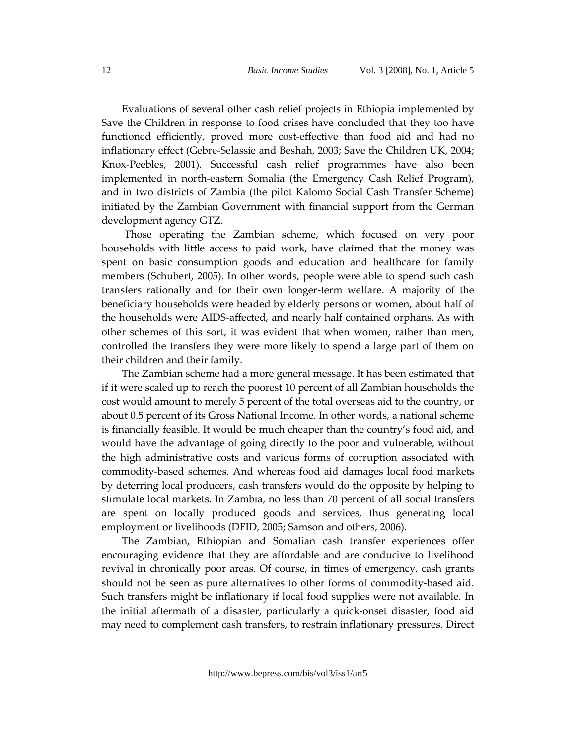Evaluations of several other cash relief projects in Ethiopia implemented by Save the Children in response to food crises have concluded that they too have functioned efficiently, proved more cost-effective than food aid and had no inflationary effect (Gebre-Selassie and Beshah, 2003; Save the Children UK, 2004; Knox-Peebles, 2001). Successful cash relief programmes have also been implemented in north-eastern Somalia (the Emergency Cash Relief Program), and in two districts of Zambia (the pilot Kalomo Social Cash Transfer Scheme) initiated by the Zambian Government with financial support from the German development agency GTZ.

 Those operating the Zambian scheme, which focused on very poor households with little access to paid work, have claimed that the money was spent on basic consumption goods and education and healthcare for family members (Schubert, 2005). In other words, people were able to spend such cash transfers rationally and for their own longer-term welfare. A majority of the beneficiary households were headed by elderly persons or women, about half of the households were AIDS-affected, and nearly half contained orphans. As with other schemes of this sort, it was evident that when women, rather than men, controlled the transfers they were more likely to spend a large part of them on their children and their family.

The Zambian scheme had a more general message. It has been estimated that if it were scaled up to reach the poorest 10 percent of all Zambian households the cost would amount to merely 5 percent of the total overseas aid to the country, or about 0.5 percent of its Gross National Income. In other words, a national scheme is financially feasible. It would be much cheaper than the country's food aid, and would have the advantage of going directly to the poor and vulnerable, without the high administrative costs and various forms of corruption associated with commodity-based schemes. And whereas food aid damages local food markets by deterring local producers, cash transfers would do the opposite by helping to stimulate local markets. In Zambia, no less than 70 percent of all social transfers are spent on locally produced goods and services, thus generating local employment or livelihoods (DFID, 2005; Samson and others, 2006).

The Zambian, Ethiopian and Somalian cash transfer experiences offer encouraging evidence that they are affordable and are conducive to livelihood revival in chronically poor areas. Of course, in times of emergency, cash grants should not be seen as pure alternatives to other forms of commodity-based aid. Such transfers might be inflationary if local food supplies were not available. In the initial aftermath of a disaster, particularly a quick-onset disaster, food aid may need to complement cash transfers, to restrain inflationary pressures. Direct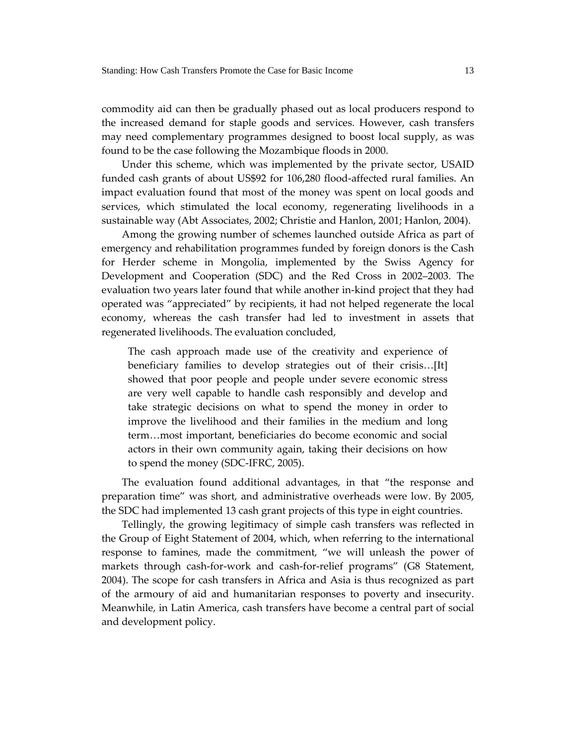commodity aid can then be gradually phased out as local producers respond to the increased demand for staple goods and services. However, cash transfers may need complementary programmes designed to boost local supply, as was found to be the case following the Mozambique floods in 2000.

Under this scheme, which was implemented by the private sector, USAID funded cash grants of about US\$92 for 106,280 flood-affected rural families. An impact evaluation found that most of the money was spent on local goods and services, which stimulated the local economy, regenerating livelihoods in a sustainable way (Abt Associates, 2002; Christie and Hanlon, 2001; Hanlon, 2004).

Among the growing number of schemes launched outside Africa as part of emergency and rehabilitation programmes funded by foreign donors is the Cash for Herder scheme in Mongolia, implemented by the Swiss Agency for Development and Cooperation (SDC) and the Red Cross in 2002–2003. The evaluation two years later found that while another in-kind project that they had operated was "appreciated" by recipients, it had not helped regenerate the local economy, whereas the cash transfer had led to investment in assets that regenerated livelihoods. The evaluation concluded,

The cash approach made use of the creativity and experience of beneficiary families to develop strategies out of their crisis…[It] showed that poor people and people under severe economic stress are very well capable to handle cash responsibly and develop and take strategic decisions on what to spend the money in order to improve the livelihood and their families in the medium and long term…most important, beneficiaries do become economic and social actors in their own community again, taking their decisions on how to spend the money (SDC-IFRC, 2005).

The evaluation found additional advantages, in that "the response and preparation time" was short, and administrative overheads were low. By 2005, the SDC had implemented 13 cash grant projects of this type in eight countries.

Tellingly, the growing legitimacy of simple cash transfers was reflected in the Group of Eight Statement of 2004, which, when referring to the international response to famines, made the commitment, "we will unleash the power of markets through cash-for-work and cash-for-relief programs" (G8 Statement, 2004). The scope for cash transfers in Africa and Asia is thus recognized as part of the armoury of aid and humanitarian responses to poverty and insecurity. Meanwhile, in Latin America, cash transfers have become a central part of social and development policy.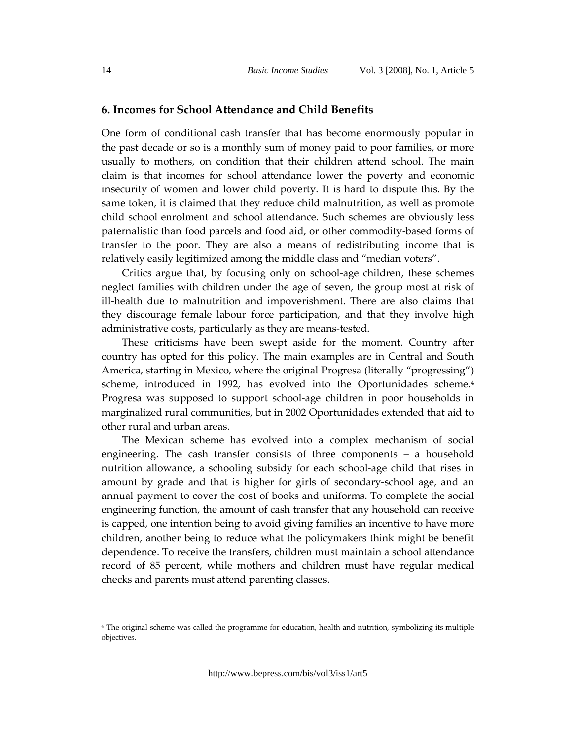#### 6. Incomes for School Attendance and Child Benefits

One form of conditional cash transfer that has become enormously popular in the past decade or so is a monthly sum of money paid to poor families, or more usually to mothers, on condition that their children attend school. The main claim is that incomes for school attendance lower the poverty and economic insecurity of women and lower child poverty. It is hard to dispute this. By the same token, it is claimed that they reduce child malnutrition, as well as promote child school enrolment and school attendance. Such schemes are obviously less paternalistic than food parcels and food aid, or other commodity-based forms of transfer to the poor. They are also a means of redistributing income that is relatively easily legitimized among the middle class and "median voters".

Critics argue that, by focusing only on school-age children, these schemes neglect families with children under the age of seven, the group most at risk of ill-health due to malnutrition and impoverishment. There are also claims that they discourage female labour force participation, and that they involve high administrative costs, particularly as they are means-tested.

These criticisms have been swept aside for the moment. Country after country has opted for this policy. The main examples are in Central and South America, starting in Mexico, where the original Progresa (literally "progressing") scheme, introduced in 1992, has evolved into the Oportunidades scheme.<sup>4</sup> Progresa was supposed to support school-age children in poor households in marginalized rural communities, but in 2002 Oportunidades extended that aid to other rural and urban areas.

The Mexican scheme has evolved into a complex mechanism of social engineering. The cash transfer consists of three components – a household nutrition allowance, a schooling subsidy for each school-age child that rises in amount by grade and that is higher for girls of secondary-school age, and an annual payment to cover the cost of books and uniforms. To complete the social engineering function, the amount of cash transfer that any household can receive is capped, one intention being to avoid giving families an incentive to have more children, another being to reduce what the policymakers think might be benefit dependence. To receive the transfers, children must maintain a school attendance record of 85 percent, while mothers and children must have regular medical checks and parents must attend parenting classes.

<sup>4</sup> The original scheme was called the programme for education, health and nutrition, symbolizing its multiple objectives.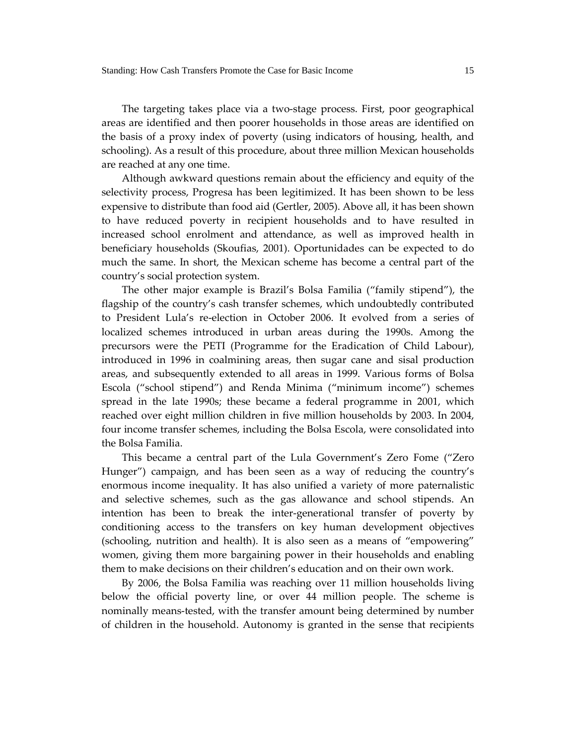The targeting takes place via a two-stage process. First, poor geographical areas are identified and then poorer households in those areas are identified on the basis of a proxy index of poverty (using indicators of housing, health, and schooling). As a result of this procedure, about three million Mexican households are reached at any one time.

Although awkward questions remain about the efficiency and equity of the selectivity process, Progresa has been legitimized. It has been shown to be less expensive to distribute than food aid (Gertler, 2005). Above all, it has been shown to have reduced poverty in recipient households and to have resulted in increased school enrolment and attendance, as well as improved health in beneficiary households (Skoufias, 2001). Oportunidades can be expected to do much the same. In short, the Mexican scheme has become a central part of the country's social protection system.

The other major example is Brazil's Bolsa Familia ("family stipend"), the flagship of the country's cash transfer schemes, which undoubtedly contributed to President Lula's re-election in October 2006. It evolved from a series of localized schemes introduced in urban areas during the 1990s. Among the precursors were the PETI (Programme for the Eradication of Child Labour), introduced in 1996 in coalmining areas, then sugar cane and sisal production areas, and subsequently extended to all areas in 1999. Various forms of Bolsa Escola ("school stipend") and Renda Minima ("minimum income") schemes spread in the late 1990s; these became a federal programme in 2001, which reached over eight million children in five million households by 2003. In 2004, four income transfer schemes, including the Bolsa Escola, were consolidated into the Bolsa Familia.

This became a central part of the Lula Government's Zero Fome ("Zero Hunger") campaign, and has been seen as a way of reducing the country's enormous income inequality. It has also unified a variety of more paternalistic and selective schemes, such as the gas allowance and school stipends. An intention has been to break the inter-generational transfer of poverty by conditioning access to the transfers on key human development objectives (schooling, nutrition and health). It is also seen as a means of "empowering" women, giving them more bargaining power in their households and enabling them to make decisions on their children's education and on their own work.

By 2006, the Bolsa Familia was reaching over 11 million households living below the official poverty line, or over 44 million people. The scheme is nominally means-tested, with the transfer amount being determined by number of children in the household. Autonomy is granted in the sense that recipients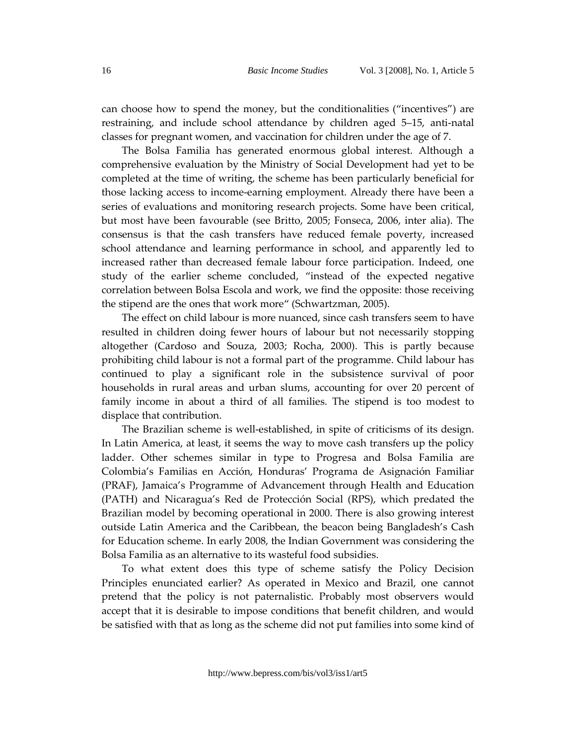can choose how to spend the money, but the conditionalities ("incentives") are restraining, and include school attendance by children aged 5–15, anti-natal classes for pregnant women, and vaccination for children under the age of 7.

The Bolsa Familia has generated enormous global interest. Although a comprehensive evaluation by the Ministry of Social Development had yet to be completed at the time of writing, the scheme has been particularly beneficial for those lacking access to income-earning employment. Already there have been a series of evaluations and monitoring research projects. Some have been critical, but most have been favourable (see Britto, 2005; Fonseca, 2006, inter alia). The consensus is that the cash transfers have reduced female poverty, increased school attendance and learning performance in school, and apparently led to increased rather than decreased female labour force participation. Indeed, one study of the earlier scheme concluded, "instead of the expected negative correlation between Bolsa Escola and work, we find the opposite: those receiving the stipend are the ones that work more" (Schwartzman, 2005).

The effect on child labour is more nuanced, since cash transfers seem to have resulted in children doing fewer hours of labour but not necessarily stopping altogether (Cardoso and Souza, 2003; Rocha, 2000). This is partly because prohibiting child labour is not a formal part of the programme. Child labour has continued to play a significant role in the subsistence survival of poor households in rural areas and urban slums, accounting for over 20 percent of family income in about a third of all families. The stipend is too modest to displace that contribution.

The Brazilian scheme is well-established, in spite of criticisms of its design. In Latin America, at least, it seems the way to move cash transfers up the policy ladder. Other schemes similar in type to Progresa and Bolsa Familia are Colombia's Familias en Acción, Honduras' Programa de Asignación Familiar (PRAF), Jamaica's Programme of Advancement through Health and Education (PATH) and Nicaragua's Red de Protección Social (RPS), which predated the Brazilian model by becoming operational in 2000. There is also growing interest outside Latin America and the Caribbean, the beacon being Bangladesh's Cash for Education scheme. In early 2008, the Indian Government was considering the Bolsa Familia as an alternative to its wasteful food subsidies.

To what extent does this type of scheme satisfy the Policy Decision Principles enunciated earlier? As operated in Mexico and Brazil, one cannot pretend that the policy is not paternalistic. Probably most observers would accept that it is desirable to impose conditions that benefit children, and would be satisfied with that as long as the scheme did not put families into some kind of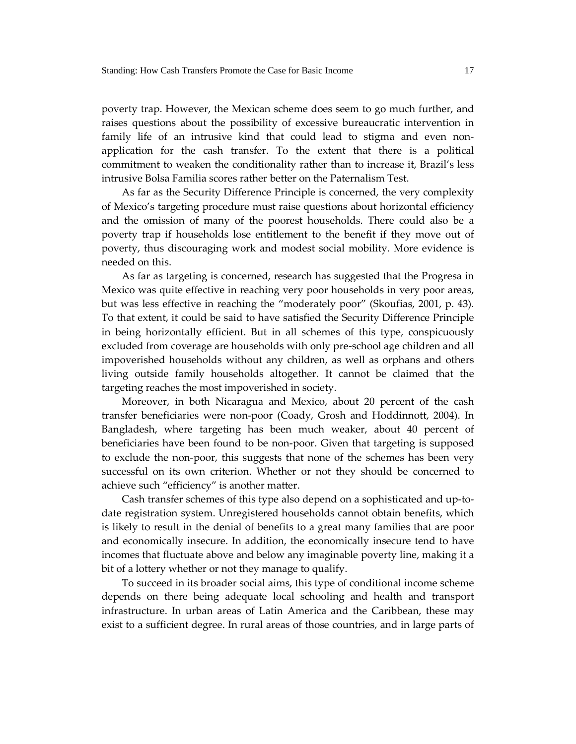poverty trap. However, the Mexican scheme does seem to go much further, and raises questions about the possibility of excessive bureaucratic intervention in family life of an intrusive kind that could lead to stigma and even nonapplication for the cash transfer. To the extent that there is a political commitment to weaken the conditionality rather than to increase it, Brazil's less intrusive Bolsa Familia scores rather better on the Paternalism Test.

As far as the Security Difference Principle is concerned, the very complexity of Mexico's targeting procedure must raise questions about horizontal efficiency and the omission of many of the poorest households. There could also be a poverty trap if households lose entitlement to the benefit if they move out of poverty, thus discouraging work and modest social mobility. More evidence is needed on this.

As far as targeting is concerned, research has suggested that the Progresa in Mexico was quite effective in reaching very poor households in very poor areas, but was less effective in reaching the "moderately poor" (Skoufias, 2001, p. 43). To that extent, it could be said to have satisfied the Security Difference Principle in being horizontally efficient. But in all schemes of this type, conspicuously excluded from coverage are households with only pre-school age children and all impoverished households without any children, as well as orphans and others living outside family households altogether. It cannot be claimed that the targeting reaches the most impoverished in society.

Moreover, in both Nicaragua and Mexico, about 20 percent of the cash transfer beneficiaries were non-poor (Coady, Grosh and Hoddinnott, 2004). In Bangladesh, where targeting has been much weaker, about 40 percent of beneficiaries have been found to be non-poor. Given that targeting is supposed to exclude the non-poor, this suggests that none of the schemes has been very successful on its own criterion. Whether or not they should be concerned to achieve such "efficiency" is another matter.

Cash transfer schemes of this type also depend on a sophisticated and up-todate registration system. Unregistered households cannot obtain benefits, which is likely to result in the denial of benefits to a great many families that are poor and economically insecure. In addition, the economically insecure tend to have incomes that fluctuate above and below any imaginable poverty line, making it a bit of a lottery whether or not they manage to qualify.

To succeed in its broader social aims, this type of conditional income scheme depends on there being adequate local schooling and health and transport infrastructure. In urban areas of Latin America and the Caribbean, these may exist to a sufficient degree. In rural areas of those countries, and in large parts of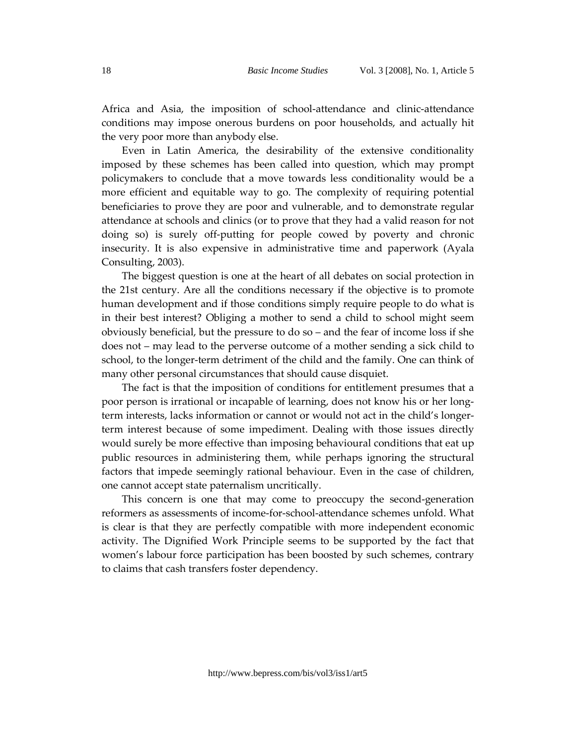Africa and Asia, the imposition of school-attendance and clinic-attendance conditions may impose onerous burdens on poor households, and actually hit the very poor more than anybody else.

Even in Latin America, the desirability of the extensive conditionality imposed by these schemes has been called into question, which may prompt policymakers to conclude that a move towards less conditionality would be a more efficient and equitable way to go. The complexity of requiring potential beneficiaries to prove they are poor and vulnerable, and to demonstrate regular attendance at schools and clinics (or to prove that they had a valid reason for not doing so) is surely off-putting for people cowed by poverty and chronic insecurity. It is also expensive in administrative time and paperwork (Ayala Consulting, 2003).

The biggest question is one at the heart of all debates on social protection in the 21st century. Are all the conditions necessary if the objective is to promote human development and if those conditions simply require people to do what is in their best interest? Obliging a mother to send a child to school might seem obviously beneficial, but the pressure to do so – and the fear of income loss if she does not – may lead to the perverse outcome of a mother sending a sick child to school, to the longer-term detriment of the child and the family. One can think of many other personal circumstances that should cause disquiet.

The fact is that the imposition of conditions for entitlement presumes that a poor person is irrational or incapable of learning, does not know his or her longterm interests, lacks information or cannot or would not act in the child's longerterm interest because of some impediment. Dealing with those issues directly would surely be more effective than imposing behavioural conditions that eat up public resources in administering them, while perhaps ignoring the structural factors that impede seemingly rational behaviour. Even in the case of children, one cannot accept state paternalism uncritically.

This concern is one that may come to preoccupy the second-generation reformers as assessments of income-for-school-attendance schemes unfold. What is clear is that they are perfectly compatible with more independent economic activity. The Dignified Work Principle seems to be supported by the fact that women's labour force participation has been boosted by such schemes, contrary to claims that cash transfers foster dependency.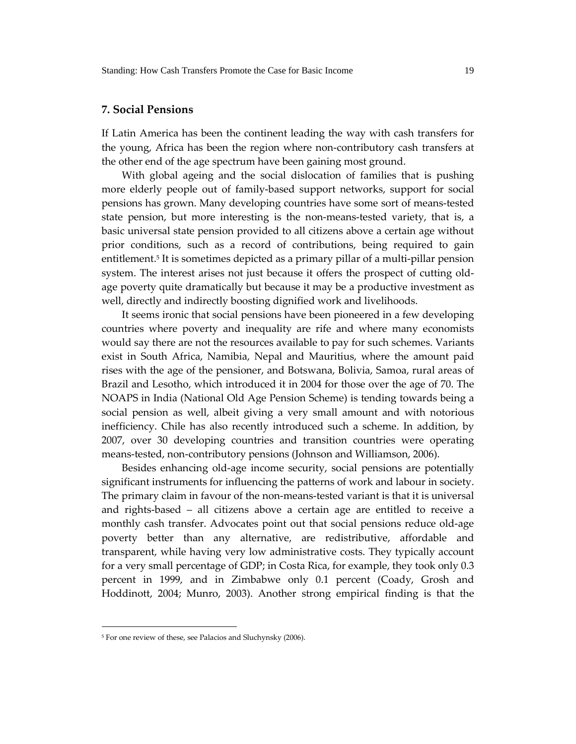#### 7. Social Pensions

If Latin America has been the continent leading the way with cash transfers for the young, Africa has been the region where non-contributory cash transfers at the other end of the age spectrum have been gaining most ground.

With global ageing and the social dislocation of families that is pushing more elderly people out of family-based support networks, support for social pensions has grown. Many developing countries have some sort of means-tested state pension, but more interesting is the non-means-tested variety, that is, a basic universal state pension provided to all citizens above a certain age without prior conditions, such as a record of contributions, being required to gain entitlement.<sup>5</sup> It is sometimes depicted as a primary pillar of a multi-pillar pension system. The interest arises not just because it offers the prospect of cutting oldage poverty quite dramatically but because it may be a productive investment as well, directly and indirectly boosting dignified work and livelihoods.

It seems ironic that social pensions have been pioneered in a few developing countries where poverty and inequality are rife and where many economists would say there are not the resources available to pay for such schemes. Variants exist in South Africa, Namibia, Nepal and Mauritius, where the amount paid rises with the age of the pensioner, and Botswana, Bolivia, Samoa, rural areas of Brazil and Lesotho, which introduced it in 2004 for those over the age of 70. The NOAPS in India (National Old Age Pension Scheme) is tending towards being a social pension as well, albeit giving a very small amount and with notorious inefficiency. Chile has also recently introduced such a scheme. In addition, by 2007, over 30 developing countries and transition countries were operating means-tested, non-contributory pensions (Johnson and Williamson, 2006).

Besides enhancing old-age income security, social pensions are potentially significant instruments for influencing the patterns of work and labour in society. The primary claim in favour of the non-means-tested variant is that it is universal and rights-based – all citizens above a certain age are entitled to receive a monthly cash transfer. Advocates point out that social pensions reduce old-age poverty better than any alternative, are redistributive, affordable and transparent, while having very low administrative costs. They typically account for a very small percentage of GDP; in Costa Rica, for example, they took only 0.3 percent in 1999, and in Zimbabwe only 0.1 percent (Coady, Grosh and Hoddinott, 2004; Munro, 2003). Another strong empirical finding is that the

<sup>5</sup> For one review of these, see Palacios and Sluchynsky (2006).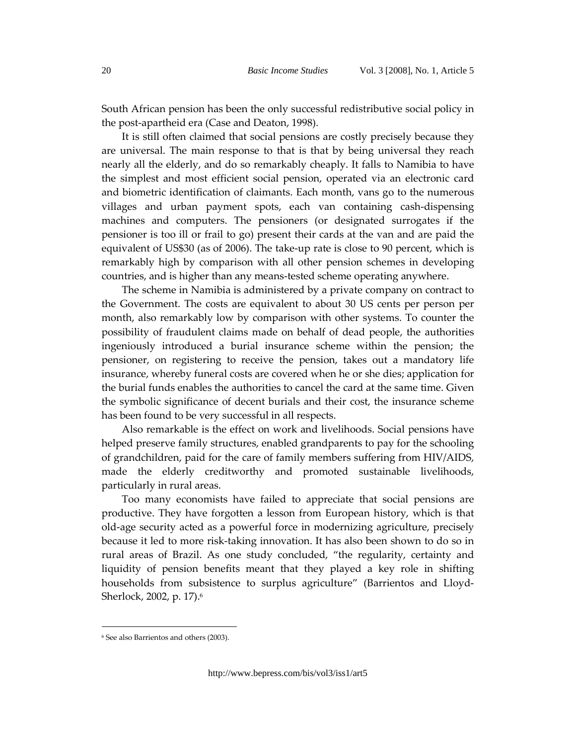South African pension has been the only successful redistributive social policy in the post-apartheid era (Case and Deaton, 1998).

It is still often claimed that social pensions are costly precisely because they are universal. The main response to that is that by being universal they reach nearly all the elderly, and do so remarkably cheaply. It falls to Namibia to have the simplest and most efficient social pension, operated via an electronic card and biometric identification of claimants. Each month, vans go to the numerous villages and urban payment spots, each van containing cash-dispensing machines and computers. The pensioners (or designated surrogates if the pensioner is too ill or frail to go) present their cards at the van and are paid the equivalent of US\$30 (as of 2006). The take-up rate is close to 90 percent, which is remarkably high by comparison with all other pension schemes in developing countries, and is higher than any means-tested scheme operating anywhere.

The scheme in Namibia is administered by a private company on contract to the Government. The costs are equivalent to about 30 US cents per person per month, also remarkably low by comparison with other systems. To counter the possibility of fraudulent claims made on behalf of dead people, the authorities ingeniously introduced a burial insurance scheme within the pension; the pensioner, on registering to receive the pension, takes out a mandatory life insurance, whereby funeral costs are covered when he or she dies; application for the burial funds enables the authorities to cancel the card at the same time. Given the symbolic significance of decent burials and their cost, the insurance scheme has been found to be very successful in all respects.

Also remarkable is the effect on work and livelihoods. Social pensions have helped preserve family structures, enabled grandparents to pay for the schooling of grandchildren, paid for the care of family members suffering from HIV/AIDS, made the elderly creditworthy and promoted sustainable livelihoods, particularly in rural areas.

Too many economists have failed to appreciate that social pensions are productive. They have forgotten a lesson from European history, which is that old-age security acted as a powerful force in modernizing agriculture, precisely because it led to more risk-taking innovation. It has also been shown to do so in rural areas of Brazil. As one study concluded, "the regularity, certainty and liquidity of pension benefits meant that they played a key role in shifting households from subsistence to surplus agriculture" (Barrientos and Lloyd-Sherlock, 2002, p. 17).<sup>6</sup>

<sup>6</sup> See also Barrientos and others (2003).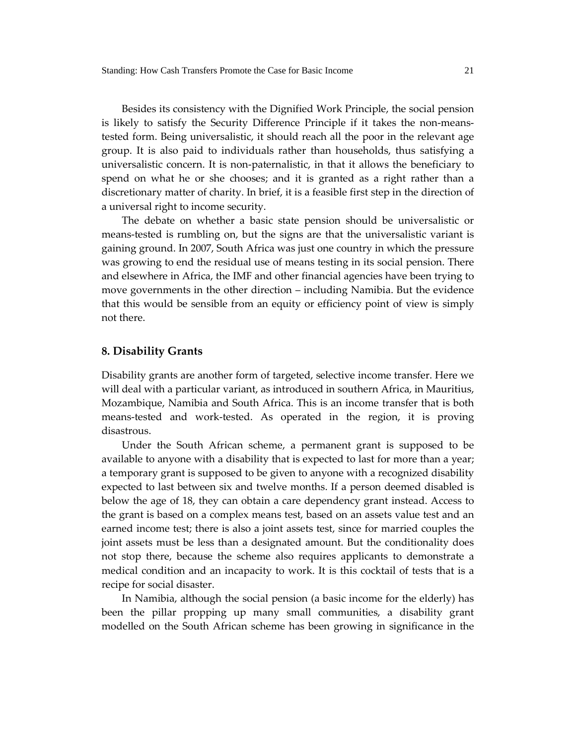Besides its consistency with the Dignified Work Principle, the social pension is likely to satisfy the Security Difference Principle if it takes the non-meanstested form. Being universalistic, it should reach all the poor in the relevant age group. It is also paid to individuals rather than households, thus satisfying a universalistic concern. It is non-paternalistic, in that it allows the beneficiary to spend on what he or she chooses; and it is granted as a right rather than a discretionary matter of charity. In brief, it is a feasible first step in the direction of a universal right to income security.

The debate on whether a basic state pension should be universalistic or means-tested is rumbling on, but the signs are that the universalistic variant is gaining ground. In 2007, South Africa was just one country in which the pressure was growing to end the residual use of means testing in its social pension. There and elsewhere in Africa, the IMF and other financial agencies have been trying to move governments in the other direction – including Namibia. But the evidence that this would be sensible from an equity or efficiency point of view is simply not there.

#### 8. Disability Grants

Disability grants are another form of targeted, selective income transfer. Here we will deal with a particular variant, as introduced in southern Africa, in Mauritius, Mozambique, Namibia and South Africa. This is an income transfer that is both means-tested and work-tested. As operated in the region, it is proving disastrous.

Under the South African scheme, a permanent grant is supposed to be available to anyone with a disability that is expected to last for more than a year; a temporary grant is supposed to be given to anyone with a recognized disability expected to last between six and twelve months. If a person deemed disabled is below the age of 18, they can obtain a care dependency grant instead. Access to the grant is based on a complex means test, based on an assets value test and an earned income test; there is also a joint assets test, since for married couples the joint assets must be less than a designated amount. But the conditionality does not stop there, because the scheme also requires applicants to demonstrate a medical condition and an incapacity to work. It is this cocktail of tests that is a recipe for social disaster.

In Namibia, although the social pension (a basic income for the elderly) has been the pillar propping up many small communities, a disability grant modelled on the South African scheme has been growing in significance in the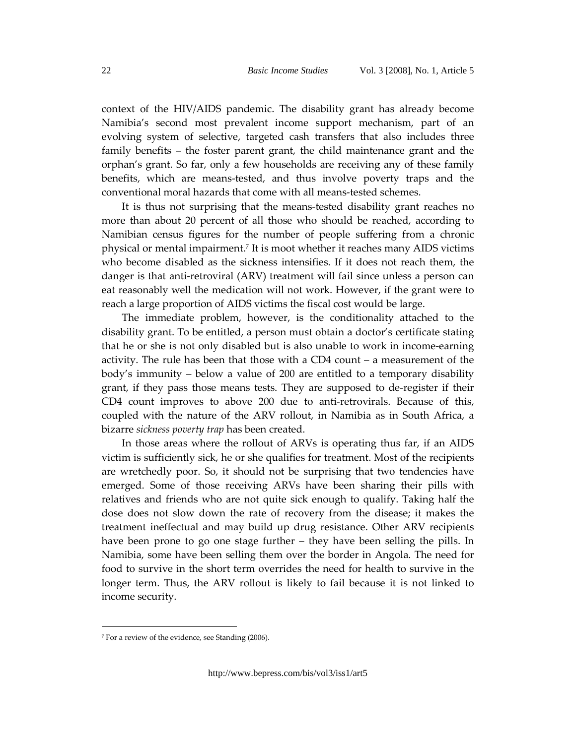context of the HIV/AIDS pandemic. The disability grant has already become Namibia's second most prevalent income support mechanism, part of an evolving system of selective, targeted cash transfers that also includes three family benefits – the foster parent grant, the child maintenance grant and the orphan's grant. So far, only a few households are receiving any of these family benefits, which are means-tested, and thus involve poverty traps and the conventional moral hazards that come with all means-tested schemes.

It is thus not surprising that the means-tested disability grant reaches no more than about 20 percent of all those who should be reached, according to Namibian census figures for the number of people suffering from a chronic physical or mental impairment.<sup>7</sup> It is moot whether it reaches many AIDS victims who become disabled as the sickness intensifies. If it does not reach them, the danger is that anti-retroviral (ARV) treatment will fail since unless a person can eat reasonably well the medication will not work. However, if the grant were to reach a large proportion of AIDS victims the fiscal cost would be large.

The immediate problem, however, is the conditionality attached to the disability grant. To be entitled, a person must obtain a doctor's certificate stating that he or she is not only disabled but is also unable to work in income-earning activity. The rule has been that those with a CD4 count – a measurement of the body's immunity – below a value of 200 are entitled to a temporary disability grant, if they pass those means tests. They are supposed to de-register if their CD4 count improves to above 200 due to anti-retrovirals. Because of this, coupled with the nature of the ARV rollout, in Namibia as in South Africa, a bizarre sickness poverty trap has been created.

In those areas where the rollout of ARVs is operating thus far, if an AIDS victim is sufficiently sick, he or she qualifies for treatment. Most of the recipients are wretchedly poor. So, it should not be surprising that two tendencies have emerged. Some of those receiving ARVs have been sharing their pills with relatives and friends who are not quite sick enough to qualify. Taking half the dose does not slow down the rate of recovery from the disease; it makes the treatment ineffectual and may build up drug resistance. Other ARV recipients have been prone to go one stage further – they have been selling the pills. In Namibia, some have been selling them over the border in Angola. The need for food to survive in the short term overrides the need for health to survive in the longer term. Thus, the ARV rollout is likely to fail because it is not linked to income security.

<sup>7</sup> For a review of the evidence, see Standing (2006).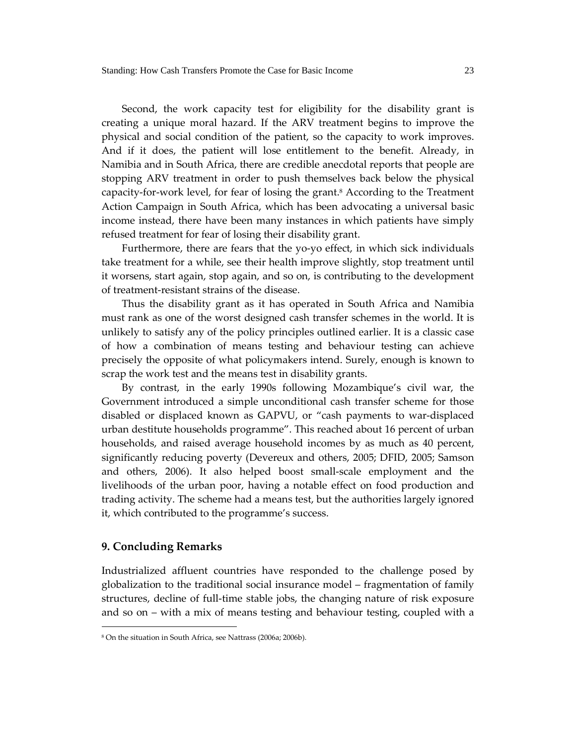Second, the work capacity test for eligibility for the disability grant is creating a unique moral hazard. If the ARV treatment begins to improve the physical and social condition of the patient, so the capacity to work improves. And if it does, the patient will lose entitlement to the benefit. Already, in Namibia and in South Africa, there are credible anecdotal reports that people are stopping ARV treatment in order to push themselves back below the physical capacity-for-work level, for fear of losing the grant. 8 According to the Treatment Action Campaign in South Africa, which has been advocating a universal basic income instead, there have been many instances in which patients have simply refused treatment for fear of losing their disability grant.

Furthermore, there are fears that the yo-yo effect, in which sick individuals take treatment for a while, see their health improve slightly, stop treatment until it worsens, start again, stop again, and so on, is contributing to the development of treatment-resistant strains of the disease.

Thus the disability grant as it has operated in South Africa and Namibia must rank as one of the worst designed cash transfer schemes in the world. It is unlikely to satisfy any of the policy principles outlined earlier. It is a classic case of how a combination of means testing and behaviour testing can achieve precisely the opposite of what policymakers intend. Surely, enough is known to scrap the work test and the means test in disability grants.

By contrast, in the early 1990s following Mozambique's civil war, the Government introduced a simple unconditional cash transfer scheme for those disabled or displaced known as GAPVU, or "cash payments to war-displaced urban destitute households programme". This reached about 16 percent of urban households, and raised average household incomes by as much as 40 percent, significantly reducing poverty (Devereux and others, 2005; DFID, 2005; Samson and others, 2006). It also helped boost small-scale employment and the livelihoods of the urban poor, having a notable effect on food production and trading activity. The scheme had a means test, but the authorities largely ignored it, which contributed to the programme's success.

# 9. Concluding Remarks

l.

Industrialized affluent countries have responded to the challenge posed by globalization to the traditional social insurance model – fragmentation of family structures, decline of full-time stable jobs, the changing nature of risk exposure and so on – with a mix of means testing and behaviour testing, coupled with a

<sup>8</sup> On the situation in South Africa, see Nattrass (2006a; 2006b).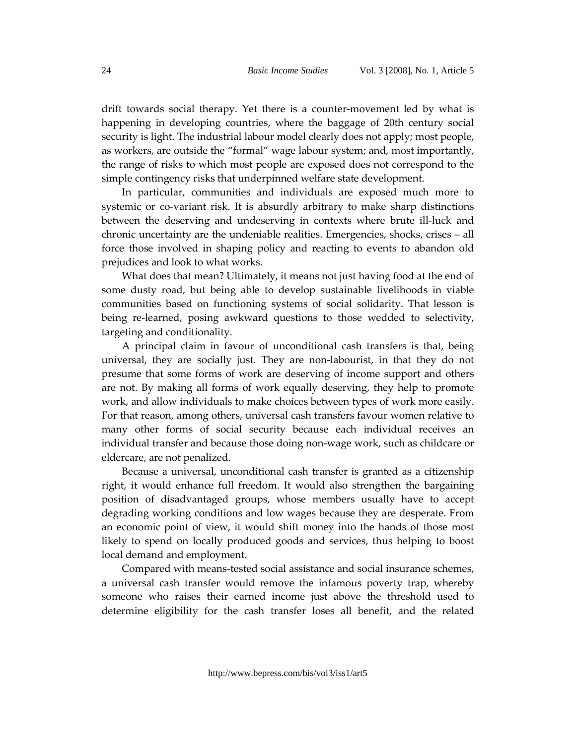drift towards social therapy. Yet there is a counter-movement led by what is happening in developing countries, where the baggage of 20th century social security is light. The industrial labour model clearly does not apply; most people, as workers, are outside the "formal" wage labour system; and, most importantly, the range of risks to which most people are exposed does not correspond to the simple contingency risks that underpinned welfare state development.

In particular, communities and individuals are exposed much more to systemic or co-variant risk. It is absurdly arbitrary to make sharp distinctions between the deserving and undeserving in contexts where brute ill-luck and chronic uncertainty are the undeniable realities. Emergencies, shocks, crises – all force those involved in shaping policy and reacting to events to abandon old prejudices and look to what works.

What does that mean? Ultimately, it means not just having food at the end of some dusty road, but being able to develop sustainable livelihoods in viable communities based on functioning systems of social solidarity. That lesson is being re-learned, posing awkward questions to those wedded to selectivity, targeting and conditionality.

A principal claim in favour of unconditional cash transfers is that, being universal, they are socially just. They are non-labourist, in that they do not presume that some forms of work are deserving of income support and others are not. By making all forms of work equally deserving, they help to promote work, and allow individuals to make choices between types of work more easily. For that reason, among others, universal cash transfers favour women relative to many other forms of social security because each individual receives an individual transfer and because those doing non-wage work, such as childcare or eldercare, are not penalized.

Because a universal, unconditional cash transfer is granted as a citizenship right, it would enhance full freedom. It would also strengthen the bargaining position of disadvantaged groups, whose members usually have to accept degrading working conditions and low wages because they are desperate. From an economic point of view, it would shift money into the hands of those most likely to spend on locally produced goods and services, thus helping to boost local demand and employment.

Compared with means-tested social assistance and social insurance schemes, a universal cash transfer would remove the infamous poverty trap, whereby someone who raises their earned income just above the threshold used to determine eligibility for the cash transfer loses all benefit, and the related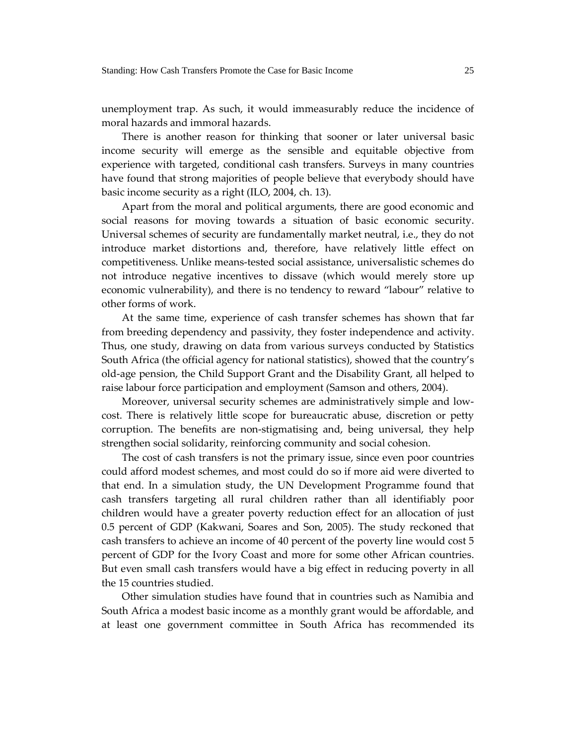unemployment trap. As such, it would immeasurably reduce the incidence of moral hazards and immoral hazards.

There is another reason for thinking that sooner or later universal basic income security will emerge as the sensible and equitable objective from experience with targeted, conditional cash transfers. Surveys in many countries have found that strong majorities of people believe that everybody should have basic income security as a right (ILO, 2004, ch. 13).

Apart from the moral and political arguments, there are good economic and social reasons for moving towards a situation of basic economic security. Universal schemes of security are fundamentally market neutral, i.e., they do not introduce market distortions and, therefore, have relatively little effect on competitiveness. Unlike means-tested social assistance, universalistic schemes do not introduce negative incentives to dissave (which would merely store up economic vulnerability), and there is no tendency to reward "labour" relative to other forms of work.

At the same time, experience of cash transfer schemes has shown that far from breeding dependency and passivity, they foster independence and activity. Thus, one study, drawing on data from various surveys conducted by Statistics South Africa (the official agency for national statistics), showed that the country's old-age pension, the Child Support Grant and the Disability Grant, all helped to raise labour force participation and employment (Samson and others, 2004).

Moreover, universal security schemes are administratively simple and lowcost. There is relatively little scope for bureaucratic abuse, discretion or petty corruption. The benefits are non-stigmatising and, being universal, they help strengthen social solidarity, reinforcing community and social cohesion.

The cost of cash transfers is not the primary issue, since even poor countries could afford modest schemes, and most could do so if more aid were diverted to that end. In a simulation study, the UN Development Programme found that cash transfers targeting all rural children rather than all identifiably poor children would have a greater poverty reduction effect for an allocation of just 0.5 percent of GDP (Kakwani, Soares and Son, 2005). The study reckoned that cash transfers to achieve an income of 40 percent of the poverty line would cost 5 percent of GDP for the Ivory Coast and more for some other African countries. But even small cash transfers would have a big effect in reducing poverty in all the 15 countries studied.

Other simulation studies have found that in countries such as Namibia and South Africa a modest basic income as a monthly grant would be affordable, and at least one government committee in South Africa has recommended its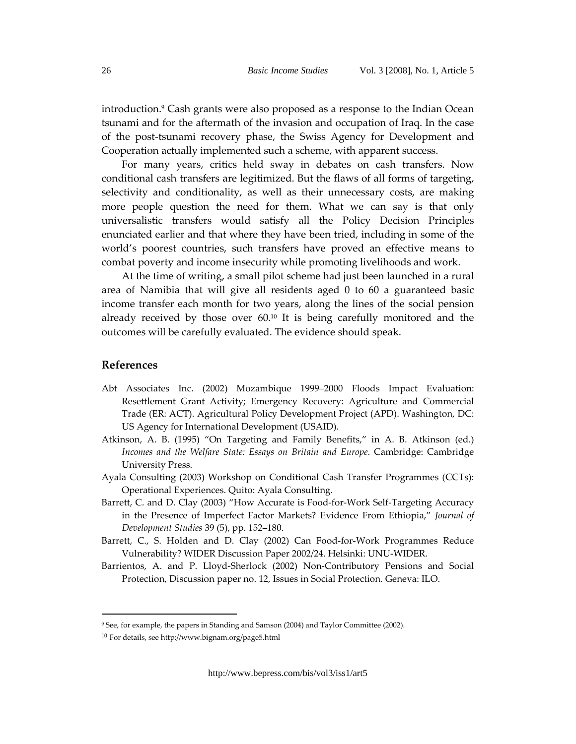introduction.<sup>9</sup> Cash grants were also proposed as a response to the Indian Ocean tsunami and for the aftermath of the invasion and occupation of Iraq. In the case of the post-tsunami recovery phase, the Swiss Agency for Development and Cooperation actually implemented such a scheme, with apparent success.

For many years, critics held sway in debates on cash transfers. Now conditional cash transfers are legitimized. But the flaws of all forms of targeting, selectivity and conditionality, as well as their unnecessary costs, are making more people question the need for them. What we can say is that only universalistic transfers would satisfy all the Policy Decision Principles enunciated earlier and that where they have been tried, including in some of the world's poorest countries, such transfers have proved an effective means to combat poverty and income insecurity while promoting livelihoods and work.

At the time of writing, a small pilot scheme had just been launched in a rural area of Namibia that will give all residents aged 0 to 60 a guaranteed basic income transfer each month for two years, along the lines of the social pension already received by those over 60.10 It is being carefully monitored and the outcomes will be carefully evaluated. The evidence should speak.

#### References

L

- Abt Associates Inc. (2002) Mozambique 1999–2000 Floods Impact Evaluation: Resettlement Grant Activity; Emergency Recovery: Agriculture and Commercial Trade (ER: ACT). Agricultural Policy Development Project (APD). Washington, DC: US Agency for International Development (USAID).
- Atkinson, A. B. (1995) "On Targeting and Family Benefits," in A. B. Atkinson (ed.) Incomes and the Welfare State: Essays on Britain and Europe. Cambridge: Cambridge University Press.
- Ayala Consulting (2003) Workshop on Conditional Cash Transfer Programmes (CCTs): Operational Experiences. Quito: Ayala Consulting.
- Barrett, C. and D. Clay (2003) "How Accurate is Food-for-Work Self-Targeting Accuracy in the Presence of Imperfect Factor Markets? Evidence From Ethiopia," Journal of Development Studies 39 (5), pp. 152–180.
- Barrett, C., S. Holden and D. Clay (2002) Can Food-for-Work Programmes Reduce Vulnerability? WIDER Discussion Paper 2002/24. Helsinki: UNU-WIDER.
- Barrientos, A. and P. Lloyd-Sherlock (2002) Non-Contributory Pensions and Social Protection, Discussion paper no. 12, Issues in Social Protection. Geneva: ILO.

<sup>9</sup> See, for example, the papers in Standing and Samson (2004) and Taylor Committee (2002).

<sup>10</sup> For details, see http://www.bignam.org/page5.html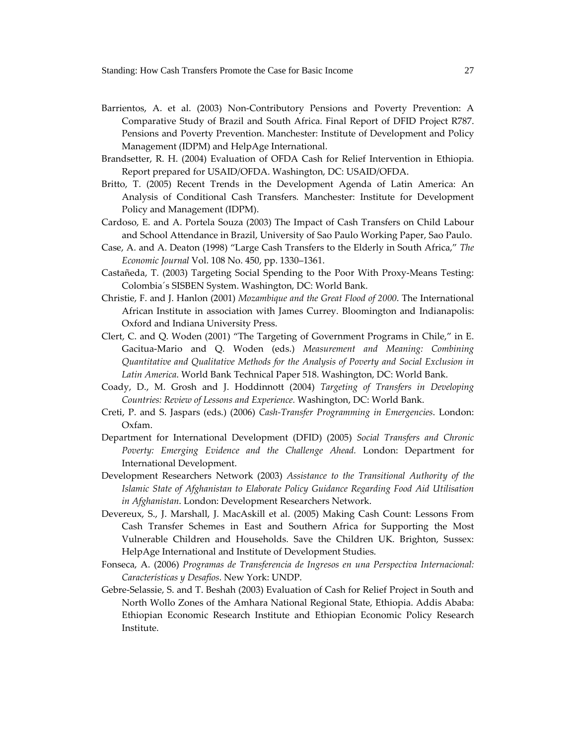- Barrientos, A. et al. (2003) Non-Contributory Pensions and Poverty Prevention: A Comparative Study of Brazil and South Africa. Final Report of DFID Project R787. Pensions and Poverty Prevention. Manchester: Institute of Development and Policy Management (IDPM) and HelpAge International.
- Brandsetter, R. H. (2004) Evaluation of OFDA Cash for Relief Intervention in Ethiopia. Report prepared for USAID/OFDA. Washington, DC: USAID/OFDA.
- Britto, T. (2005) Recent Trends in the Development Agenda of Latin America: An Analysis of Conditional Cash Transfers. Manchester: Institute for Development Policy and Management (IDPM).
- Cardoso, E. and A. Portela Souza (2003) The Impact of Cash Transfers on Child Labour and School Attendance in Brazil, University of Sao Paulo Working Paper, Sao Paulo.
- Case, A. and A. Deaton (1998) "Large Cash Transfers to the Elderly in South Africa," The Economic Journal Vol. 108 No. 450, pp. 1330–1361.
- Castañeda, T. (2003) Targeting Social Spending to the Poor With Proxy-Means Testing: Colombia´s SISBEN System. Washington, DC: World Bank.
- Christie, F. and J. Hanlon (2001) Mozambique and the Great Flood of 2000. The International African Institute in association with James Currey. Bloomington and Indianapolis: Oxford and Indiana University Press.
- Clert, C. and Q. Woden (2001) "The Targeting of Government Programs in Chile," in E. Gacitua-Mario and Q. Woden (eds.) Measurement and Meaning: Combining Quantitative and Qualitative Methods for the Analysis of Poverty and Social Exclusion in Latin America. World Bank Technical Paper 518. Washington, DC: World Bank.
- Coady, D., M. Grosh and J. Hoddinnott (2004) Targeting of Transfers in Developing Countries: Review of Lessons and Experience. Washington, DC: World Bank.
- Creti, P. and S. Jaspars (eds.) (2006) Cash-Transfer Programming in Emergencies. London: Oxfam.
- Department for International Development (DFID) (2005) Social Transfers and Chronic Poverty: Emerging Evidence and the Challenge Ahead. London: Department for International Development.
- Development Researchers Network (2003) Assistance to the Transitional Authority of the Islamic State of Afghanistan to Elaborate Policy Guidance Regarding Food Aid Utilisation in Afghanistan. London: Development Researchers Network.
- Devereux, S., J. Marshall, J. MacAskill et al. (2005) Making Cash Count: Lessons From Cash Transfer Schemes in East and Southern Africa for Supporting the Most Vulnerable Children and Households. Save the Children UK. Brighton, Sussex: HelpAge International and Institute of Development Studies.
- Fonseca, A. (2006) Programas de Transferencia de Ingresos en una Perspectiva Internacional: Características y Desafíos. New York: UNDP.
- Gebre-Selassie, S. and T. Beshah (2003) Evaluation of Cash for Relief Project in South and North Wollo Zones of the Amhara National Regional State, Ethiopia. Addis Ababa: Ethiopian Economic Research Institute and Ethiopian Economic Policy Research Institute.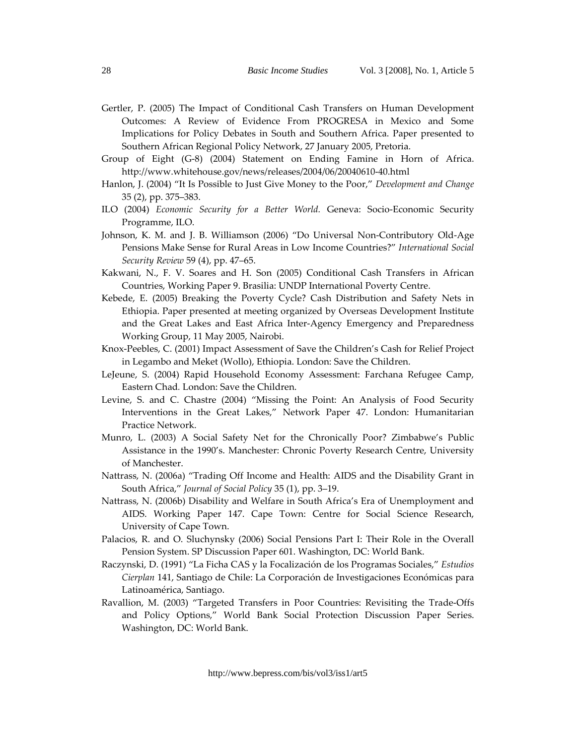- Gertler, P. (2005) The Impact of Conditional Cash Transfers on Human Development Outcomes: A Review of Evidence From PROGRESA in Mexico and Some Implications for Policy Debates in South and Southern Africa. Paper presented to Southern African Regional Policy Network, 27 January 2005, Pretoria.
- Group of Eight (G-8) (2004) Statement on Ending Famine in Horn of Africa. http://www.whitehouse.gov/news/releases/2004/06/20040610-40.html
- Hanlon, J. (2004) "It Is Possible to Just Give Money to the Poor," Development and Change 35 (2), pp. 375–383.
- ILO (2004) Economic Security for a Better World. Geneva: Socio-Economic Security Programme, ILO.
- Johnson, K. M. and J. B. Williamson (2006) "Do Universal Non-Contributory Old-Age Pensions Make Sense for Rural Areas in Low Income Countries?" International Social Security Review 59 (4), pp. 47–65.
- Kakwani, N., F. V. Soares and H. Son (2005) Conditional Cash Transfers in African Countries, Working Paper 9. Brasilia: UNDP International Poverty Centre.
- Kebede, E. (2005) Breaking the Poverty Cycle? Cash Distribution and Safety Nets in Ethiopia. Paper presented at meeting organized by Overseas Development Institute and the Great Lakes and East Africa Inter-Agency Emergency and Preparedness Working Group, 11 May 2005, Nairobi.
- Knox-Peebles, C. (2001) Impact Assessment of Save the Children's Cash for Relief Project in Legambo and Meket (Wollo), Ethiopia. London: Save the Children.
- LeJeune, S. (2004) Rapid Household Economy Assessment: Farchana Refugee Camp, Eastern Chad. London: Save the Children.
- Levine, S. and C. Chastre (2004) "Missing the Point: An Analysis of Food Security Interventions in the Great Lakes," Network Paper 47. London: Humanitarian Practice Network.
- Munro, L. (2003) A Social Safety Net for the Chronically Poor? Zimbabwe's Public Assistance in the 1990's. Manchester: Chronic Poverty Research Centre, University of Manchester.
- Nattrass, N. (2006a) "Trading Off Income and Health: AIDS and the Disability Grant in South Africa," Journal of Social Policy 35 (1), pp. 3–19.
- Nattrass, N. (2006b) Disability and Welfare in South Africa's Era of Unemployment and AIDS. Working Paper 147. Cape Town: Centre for Social Science Research, University of Cape Town.
- Palacios, R. and O. Sluchynsky (2006) Social Pensions Part I: Their Role in the Overall Pension System. SP Discussion Paper 601. Washington, DC: World Bank.
- Raczynski, D. (1991) "La Ficha CAS y la Focalización de los Programas Sociales," Estudios Cierplan 141, Santiago de Chile: La Corporación de Investigaciones Económicas para Latinoamérica, Santiago.
- Ravallion, M. (2003) "Targeted Transfers in Poor Countries: Revisiting the Trade-Offs and Policy Options," World Bank Social Protection Discussion Paper Series. Washington, DC: World Bank.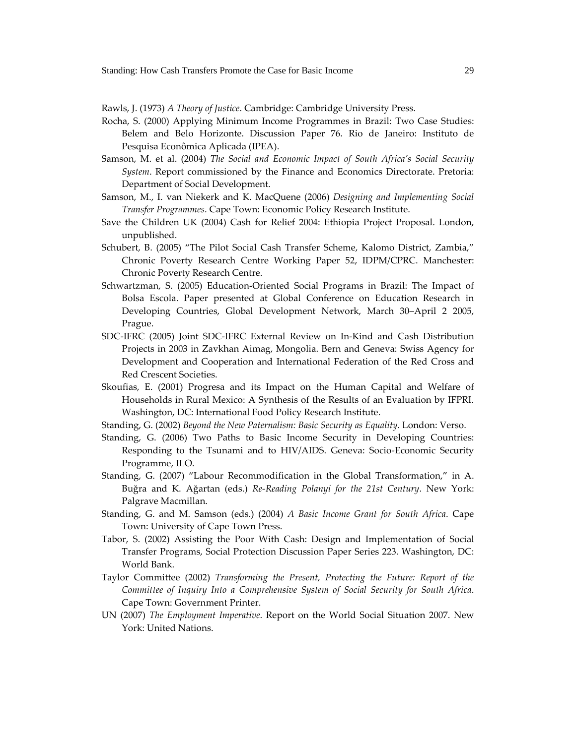Rawls, J. (1973) A Theory of Justice. Cambridge: Cambridge University Press.

- Rocha, S. (2000) Applying Minimum Income Programmes in Brazil: Two Case Studies: Belem and Belo Horizonte. Discussion Paper 76. Rio de Janeiro: Instituto de Pesquisa Econômica Aplicada (IPEA).
- Samson, M. et al. (2004) The Social and Economic Impact of South Africa's Social Security System. Report commissioned by the Finance and Economics Directorate. Pretoria: Department of Social Development.
- Samson, M., I. van Niekerk and K. MacQuene (2006) Designing and Implementing Social Transfer Programmes. Cape Town: Economic Policy Research Institute.
- Save the Children UK (2004) Cash for Relief 2004: Ethiopia Project Proposal. London, unpublished.
- Schubert, B. (2005) "The Pilot Social Cash Transfer Scheme, Kalomo District, Zambia," Chronic Poverty Research Centre Working Paper 52, IDPM/CPRC. Manchester: Chronic Poverty Research Centre.
- Schwartzman, S. (2005) Education-Oriented Social Programs in Brazil: The Impact of Bolsa Escola. Paper presented at Global Conference on Education Research in Developing Countries, Global Development Network, March 30–April 2 2005, Prague.
- SDC-IFRC (2005) Joint SDC-IFRC External Review on In-Kind and Cash Distribution Projects in 2003 in Zavkhan Aimag, Mongolia. Bern and Geneva: Swiss Agency for Development and Cooperation and International Federation of the Red Cross and Red Crescent Societies.
- Skoufias, E. (2001) Progresa and its Impact on the Human Capital and Welfare of Households in Rural Mexico: A Synthesis of the Results of an Evaluation by IFPRI. Washington, DC: International Food Policy Research Institute.
- Standing, G. (2002) Beyond the New Paternalism: Basic Security as Equality. London: Verso.
- Standing, G. (2006) Two Paths to Basic Income Security in Developing Countries: Responding to the Tsunami and to HIV/AIDS. Geneva: Socio-Economic Security Programme, ILO.
- Standing, G. (2007) "Labour Recommodification in the Global Transformation," in A. Buğra and K. Ağartan (eds.) Re-Reading Polanyi for the 21st Century. New York: Palgrave Macmillan.
- Standing, G. and M. Samson (eds.) (2004) A Basic Income Grant for South Africa. Cape Town: University of Cape Town Press.
- Tabor, S. (2002) Assisting the Poor With Cash: Design and Implementation of Social Transfer Programs, Social Protection Discussion Paper Series 223. Washington, DC: World Bank.
- Taylor Committee (2002) Transforming the Present, Protecting the Future: Report of the Committee of Inquiry Into a Comprehensive System of Social Security for South Africa. Cape Town: Government Printer.
- UN (2007) The Employment Imperative. Report on the World Social Situation 2007. New York: United Nations.